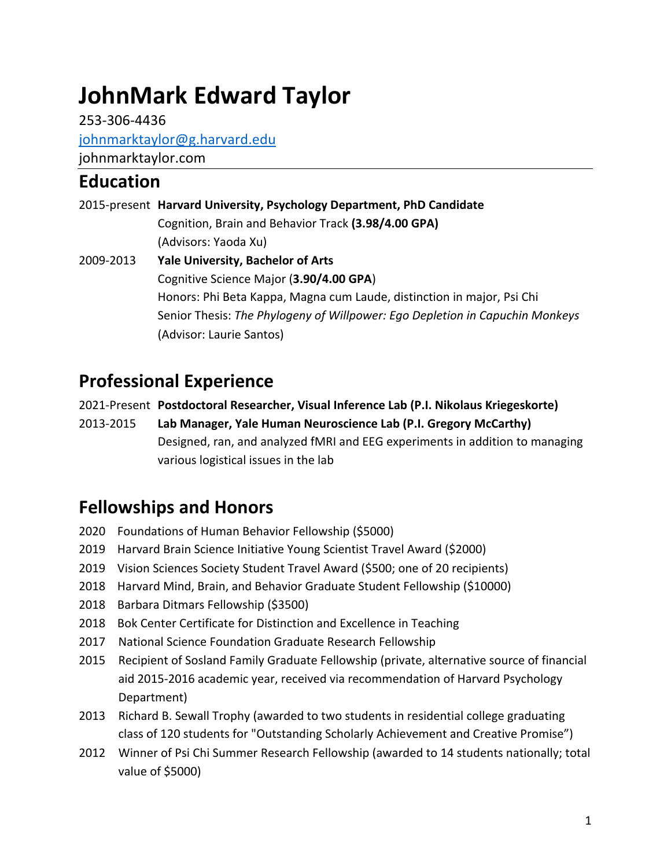# **JohnMark Edward Taylor**

253-306-4436 johnmarktaylor@g.harvard.edu johnmarktaylor.com

## **Education**

|           | 2015-present Harvard University, Psychology Department, PhD Candidate        |
|-----------|------------------------------------------------------------------------------|
|           | Cognition, Brain and Behavior Track (3.98/4.00 GPA)                          |
|           | (Advisors: Yaoda Xu)                                                         |
| 2009-2013 | <b>Yale University, Bachelor of Arts</b>                                     |
|           | Cognitive Science Major (3.90/4.00 GPA)                                      |
|           | Honors: Phi Beta Kappa, Magna cum Laude, distinction in major, Psi Chi       |
|           | Senior Thesis: The Phylogeny of Willpower: Ego Depletion in Capuchin Monkeys |
|           | (Advisor: Laurie Santos)                                                     |

# **Professional Experience**

2021-Present **Postdoctoral Researcher, Visual Inference Lab (P.I. Nikolaus Kriegeskorte)**

2013-2015 **Lab Manager, Yale Human Neuroscience Lab (P.I. Gregory McCarthy)** Designed, ran, and analyzed fMRI and EEG experiments in addition to managing various logistical issues in the lab

# **Fellowships and Honors**

- 2020 Foundations of Human Behavior Fellowship (\$5000)
- 2019 Harvard Brain Science Initiative Young Scientist Travel Award (\$2000)
- 2019 Vision Sciences Society Student Travel Award (\$500; one of 20 recipients)
- 2018 Harvard Mind, Brain, and Behavior Graduate Student Fellowship (\$10000)
- 2018 Barbara Ditmars Fellowship (\$3500)
- 2018 Bok Center Certificate for Distinction and Excellence in Teaching
- 2017 National Science Foundation Graduate Research Fellowship
- 2015 Recipient of Sosland Family Graduate Fellowship (private, alternative source of financial aid 2015-2016 academic year, received via recommendation of Harvard Psychology Department)
- 2013 Richard B. Sewall Trophy (awarded to two students in residential college graduating class of 120 students for "Outstanding Scholarly Achievement and Creative Promise")
- 2012 Winner of Psi Chi Summer Research Fellowship (awarded to 14 students nationally; total value of \$5000)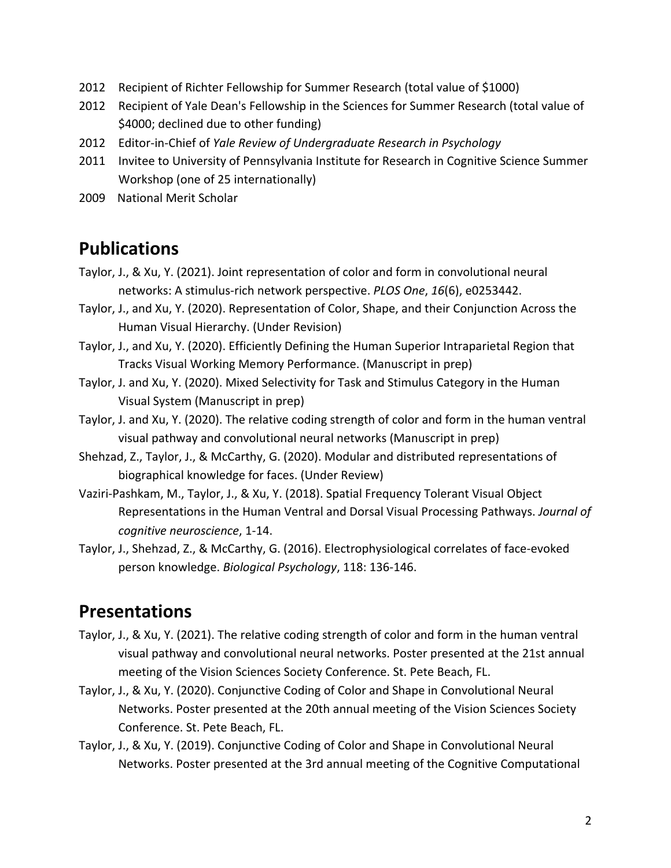- 2012 Recipient of Richter Fellowship for Summer Research (total value of \$1000)
- 2012 Recipient of Yale Dean's Fellowship in the Sciences for Summer Research (total value of \$4000; declined due to other funding)
- 2012 Editor-in-Chief of *Yale Review of Undergraduate Research in Psychology*
- 2011 Invitee to University of Pennsylvania Institute for Research in Cognitive Science Summer Workshop (one of 25 internationally)
- 2009 National Merit Scholar

#### **Publications**

- Taylor, J., & Xu, Y. (2021). Joint representation of color and form in convolutional neural networks: A stimulus-rich network perspective. *PLOS One*, *16*(6), e0253442.
- Taylor, J., and Xu, Y. (2020). Representation of Color, Shape, and their Conjunction Across the Human Visual Hierarchy. (Under Revision)
- Taylor, J., and Xu, Y. (2020). Efficiently Defining the Human Superior Intraparietal Region that Tracks Visual Working Memory Performance. (Manuscript in prep)
- Taylor, J. and Xu, Y. (2020). Mixed Selectivity for Task and Stimulus Category in the Human Visual System (Manuscript in prep)
- Taylor, J. and Xu, Y. (2020). The relative coding strength of color and form in the human ventral visual pathway and convolutional neural networks (Manuscript in prep)
- Shehzad, Z., Taylor, J., & McCarthy, G. (2020). Modular and distributed representations of biographical knowledge for faces. (Under Review)
- Vaziri-Pashkam, M., Taylor, J., & Xu, Y. (2018). Spatial Frequency Tolerant Visual Object Representations in the Human Ventral and Dorsal Visual Processing Pathways. *Journal of cognitive neuroscience*, 1-14.
- Taylor, J., Shehzad, Z., & McCarthy, G. (2016). Electrophysiological correlates of face-evoked person knowledge. *Biological Psychology*, 118: 136-146.

## **Presentations**

- Taylor, J., & Xu, Y. (2021). The relative coding strength of color and form in the human ventral visual pathway and convolutional neural networks. Poster presented at the 21st annual meeting of the Vision Sciences Society Conference. St. Pete Beach, FL.
- Taylor, J., & Xu, Y. (2020). Conjunctive Coding of Color and Shape in Convolutional Neural Networks. Poster presented at the 20th annual meeting of the Vision Sciences Society Conference. St. Pete Beach, FL.
- Taylor, J., & Xu, Y. (2019). Conjunctive Coding of Color and Shape in Convolutional Neural Networks. Poster presented at the 3rd annual meeting of the Cognitive Computational